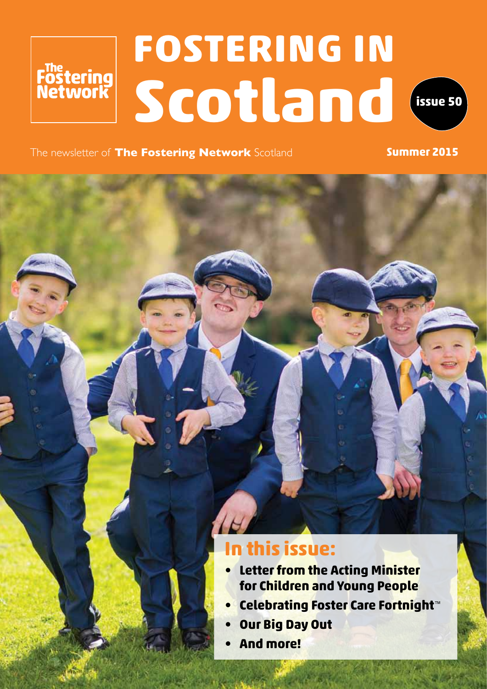# **FOSTERING IN** Festering<br>**Fostering**<br>Network **Scotland issue 50**



The newsletter of **The Fostering Network** Scotland **Summer 2015** 

## **In this issue:**

- **• Letter from the Acting Minister for Children and Young People**
- **• Celebrating Foster Care Fortnight**™
- **Our Big Day Out**
- **And more!**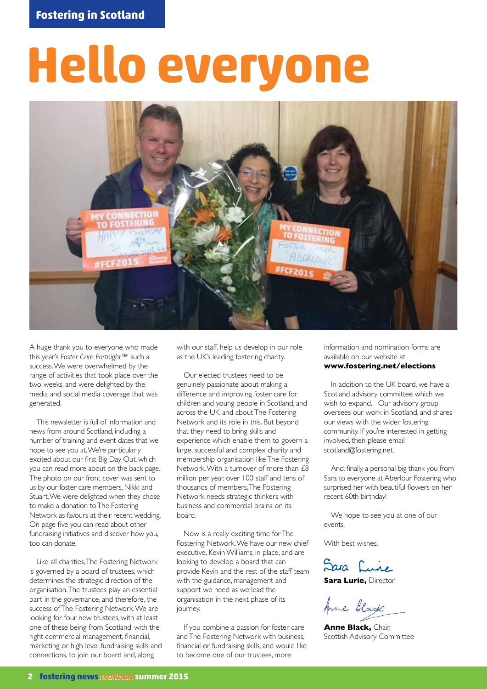# **Hello everyone**



A huge thank you to everyone who made this year's *Foster Care Fortnight*™ such a success. We were overwhelmed by the range of activities that took place over the two weeks, and were delighted by the media and social media coverage that was generated.

This newsletter is full of information and news from around Scotland, including a number of training and event dates that we hope to see you at. We're particularly excited about our first Big Day Out, which you can read more about on the back page. The photo on our front cover was sent to us by our foster care members, Nikki and Stuart. We were delighted when they chose to make a donation to The Fostering Network as favours at their recent wedding. On page five you can read about other fundraising initiatives and discover how you, too can donate.

Like all charities, The Fostering Network is governed by a board of trustees, which determines the strategic direction of the organisation. The trustees play an essential part in the governance, and therefore, the success of The Fostering Network. We are looking for four new trustees, with at least one of these being from Scotland, with the right commercial management, financial, marketing or high level fundraising skills and connections, to join our board and, along

with our staff, help us develop in our role as the UK's leading fostering charity.

Our elected trustees need to be genuinely passionate about making a difference and improving foster care for children and young people in Scotland, and across the UK, and about The Fostering Network and its role in this. But beyond that they need to bring skills and experience which enable them to govern a large, successful and complex charity and membership organisation like The Fostering Network. With a turnover of more than £8 million per year, over 100 staff and tens of thousands of members, The Fostering Network needs strategic thinkers with business and commercial brains on its board.

Now is a really exciting time for The Fostering Network. We have our new chief executive, Kevin Williams, in place, and are looking to develop a board that can provide Kevin and the rest of the staff team with the guidance, management and support we need as we lead the organisation in the next phase of its journey.

If you combine a passion for foster care and The Fostering Network with business, financial or fundraising skills, and would like to become one of our trustees, more

information and nomination forms are available on our website at **www.fostering.net/elections** 

In addition to the UK board, we have a Scotland advisory committee which we wish to expand. Our advisory group oversees our work in Scotland, and shares our views with the wider fostering community. If you're interested in getting involved, then please email scotland@fostering.net.

And, finally, a personal big thank you from Sara to everyone at Aberlour Fostering who surprised her with beautiful flowers on her recent 60th birthday!

We hope to see you at one of our events.

With best wishes.

Sara Luire

**Sara Lurie,** Director

Anne Black

**Anne Black,** Chair, Scottish Advisory Committee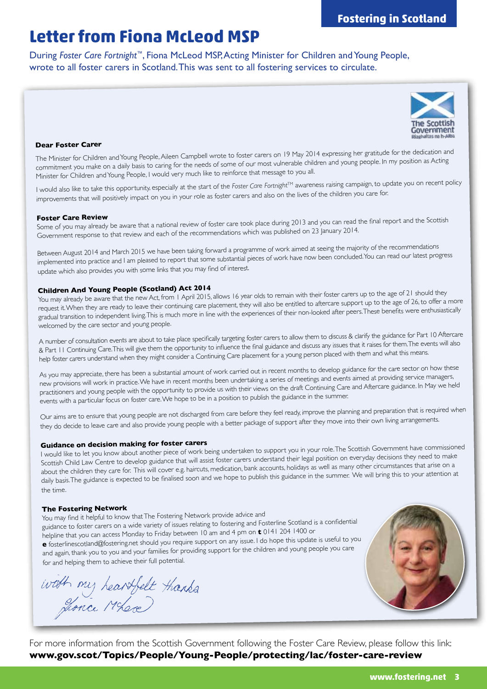## **Letter from Fiona McLeod MSP**

During *Foster Care Fortnight*™, Fiona McLeod MSP, Acting Minister for Children and Young People, wrote to all foster carers in Scotland. This was sent to all fostering services to circulate.



#### **Dear Foster Carer**

The Minister for Children and Young People, Aileen Campbell wrote to foster carers on 19 May 2014 expressing her gratitude for the dedication and commitment you make on a daily basis to caring for the needs of some of our most vulnerable children and young people. In my position as Acting Minister for Children and Young People, I would very much like to reinforce that message to you all.

I would also like to take this opportunity, especially at the start of the *Foster Care Fortnight*™ awareness raising campaign, to update you on recent policy improvements that will positively impact on you in your role as foster carers and also on the lives of the children you care for.

**Foster Care Review**<br>Some of you may already be aware that a national review of foster care took place during 2013 and you can read the final report and the Scottish Government response to that review and each of the recommendations which was published on 23 January 2014.

Between August 2014 and March 2015 we have been taking forward a programme of work aimed at seeing the majority of the recommendations implemented into practice and I am pleased to report that some substantial pieces of work have now been concluded. You can read our latest progress update which also provides you with some links that you may find of interest.

#### **Children And Young People (Scotland) Act 2014**

You may already be aware that the new Act, from 1 April 2015, allows 16 year olds to remain with their foster carers up to the age of 21 should they request it. When they are ready to leave their continuing care placement, they will also be entitled to aftercare support up to the age of 26, to offer a more gradual transition to independent living. This is much more in line with the experiences of their non-looked after peers. These benefits were enthusiastically welcomed by the care sector and young people.

A number of consultation events are about to take place specifically targeting foster carers to allow them to discuss & clarify the guidance for Part 10 Aftercare & Part 11 Continuing Care. This will give them the opportunity to influence the final guidance and discuss any issues that it raises for them. The events will also help foster carers understand when they might consider a Continuing Care placement for a young person placed with them and what this means.

As you may appreciate, there has been a substantial amount of work carried out in recent months to develop guidance for the care sector on how these new provisions will work in practice. We have in recent months been undertaking a series of meetings and events aimed at providing service managers, practitioners and young people with the opportunity to provide us with their views on the draft Continuing Care and Aftercare guidance. In May we held events with a particular focus on foster care. We hope to be in a position to publish the guidance in the summer.

Our aims are to ensure that young people are not discharged from care before they feel ready, improve the planning and preparation that is required when they do decide to leave care and also provide young people with a better package of support after they move into their own living arrangements.

#### **Guidance on decision making for foster carers**

I would like to let you know about another piece of work being undertaken to support you in your role. The Scottish Government have commissioned Scottish Child Law Centre to develop guidance that will assist foster carers understand their legal position on everyday decisions they need to make about the children they care for. This will cover e.g. haircuts, medication, bank accounts, holidays as well as many other circumstances that arise on a daily basis. The guidance is expected to be finalised soon and we hope to publish this guidance in the summer. We will bring this to your attention at the time.

#### **The Fostering Network**

You may find it helpful to know that The Fostering Network provide advice and guidance to foster carers on a wide variety of issues relating to fostering and Fosterline Scotland is a confidential helpline that you can access Monday to Friday between 10 am and 4 pm on **<sup>t</sup>**0141 204 1400 or **e** fosterlinescotland@fostering.net should you require support on any issue. I do hope this update is useful to you and again, thank you to you and your families for providing support for the children and young people you care for and helping them to achieve their full potential.

with my heartfelt thanks



For more information from the Scottish Government following the Foster Care Review, please follow this link: **www.gov.scot/Topics/People/Young-People/protecting/lac/foster-care-review**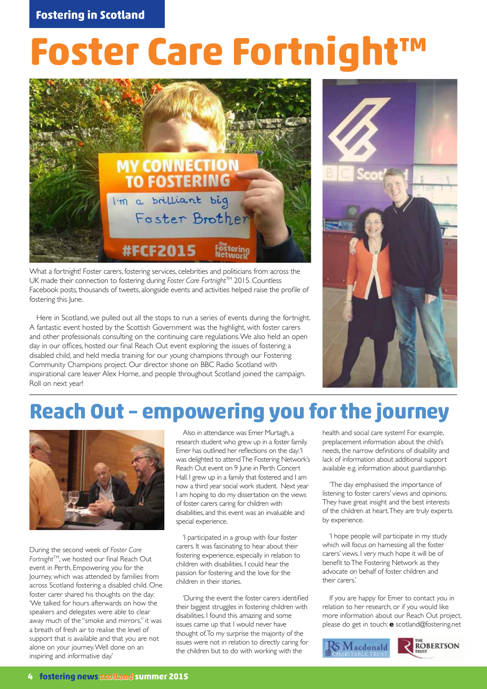# **Foster Care Fortnight™**



What a fortnight! Foster carers, fostering services, celebrities and politicians from across the UK made their connection to fostering during *Foster Care Fortnight™* 2015. Countless Facebook posts, thousands of tweets, alongside events and activities helped raise the profile of fostering this June.

Here in Scotland, we pulled out all the stops to run a series of events during the fortnight. A fantastic event hosted by the Scottish Government was the highlight, with foster carers and other professionals consulting on the continuing care regulations. We also held an open day in our offices, hosted our final Reach Out event exploring the issues of fostering a disabled child, and held media training for our young champions through our Fostering Community Champions project. Our director shone on BBC Radio Scotland with inspirational care leaver Alex Horne, and people throughout Scotland joined the campaign. Roll on next year!



## **Reach Out – empowering you for the journey**



During the second week of *Foster Care Fortnight*TM, we hosted our final Reach Out event in Perth, Empowering you for the Journey, which was attended by families from across Scotland fostering a disabled child. One foster carer shared his thoughts on the day: 'We talked for hours afterwards on how the speakers and delegates were able to clear away much of the "smoke and mirrors," it was a breath of fresh air to realise the level of support that is available and that you are not alone on your journey. Well done on an inspiring and informative day.'

Also in attendance was Emer Murtagh, a research student who grew up in a foster family. Emer has outlined her reflections on the day: 'I was delighted to attend The Fostering Network's Reach Out event on 9 June in Perth Concert Hall. I grew up in a family that fostered and I am now a third year social work student. Next year I am hoping to do my dissertation on the views of foster carers caring for children with disabilities, and this event was an invaluable and special experience.

'I participated in a group with four foster carers. It was fascinating to hear about their fostering experience, especially in relation to children with disabilities. I could hear the passion for fostering and the love for the children in their stories.

'During the event the foster carers identified their biggest struggles in fostering children with disabilities. I found this amazing and some issues came up that I would never have thought of. To my surprise the majority of the issues were not in relation to directly caring for the children but to do with working with the

health and social care system! For example, preplacement information about the child's needs, the narrow definitions of disability and lack of information about additional support available e.g. information about guardianship.

'The day emphasised the importance of listening to foster carers' views and opinions. They have great insight and the best interests of the children at heart. They are truly experts by experience.

'I hope people will participate in my study which will focus on harnessing all the foster carers' views. I very much hope it will be of benefit to The Fostering Network as they advocate on behalf of foster children and their carers.'

If you are happy for Emer to contact you in relation to her research, or if you would like more information about our Reach Out project, please do get in touch: **e** scotland@fostering.net

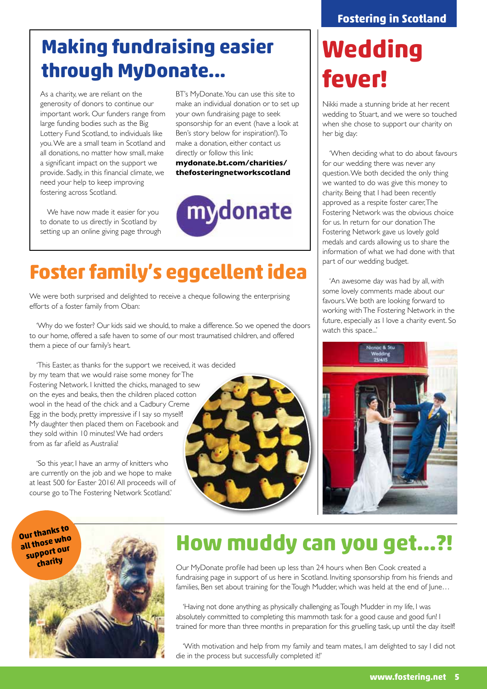## **Making fundraising easier through MyDonate...**

As a charity, we are reliant on the generosity of donors to continue our important work. Our funders range from large funding bodies such as the Big Lottery Fund Scotland, to individuals like you. We are a small team in Scotland and all donations, no matter how small, make a significant impact on the support we provide. Sadly, in this financial climate, we need your help to keep improving fostering across Scotland.

We have now made it easier for you to donate to us directly in Scotland by setting up an online giving page through BT's MyDonate. You can use this site to make an individual donation or to set up your own fundraising page to seek sponsorship for an event (have a look at Ben's story below for inspiration!). To make a donation, either contact us directly or follow this link:

**mydonate.bt.com/charities/ thefosteringnetworkscotland**



# **Foster family's eggcellent idea**

We were both surprised and delighted to receive a cheque following the enterprising efforts of a foster family from Oban:

'Why do we foster? Our kids said we should, to make a difference. So we opened the doors to our home, offered a safe haven to some of our most traumatised children, and offered them a piece of our family's heart.

'This Easter, as thanks for the support we received, it was decided by my team that we would raise some money for The Fostering Network. I knitted the chicks, managed to sew on the eyes and beaks, then the children placed cotton wool in the head of the chick and a Cadbury Creme Egg in the body, pretty impressive if I say so myself! My daughter then placed them on Facebook and they sold within 10 minutes! We had orders from as far afield as Australia!

'So this year, I have an army of knitters who are currently on the job and we hope to make at least 500 for Easter 2016! All proceeds will of course go to The Fostering Network Scotland.'



# **Wedding fever!**

Nikki made a stunning bride at her recent wedding to Stuart, and we were so touched when she chose to support our charity on her big day:

'When deciding what to do about favours for our wedding there was never any question. We both decided the only thing we wanted to do was give this money to charity. Being that I had been recently approved as a respite foster carer, The Fostering Network was the obvious choice for us. In return for our donation The Fostering Network gave us lovely gold medals and cards allowing us to share the information of what we had done with that part of our wedding budget.

'An awesome day was had by all, with some lovely comments made about our favours. We both are looking forward to working with The Fostering Network in the future, especially as I love a charity event. So watch this space...'



**Our thanks to all those who support our** 



## **How muddy can you get…?!**

Our MyDonate profile had been up less than 24 hours when Ben Cook created a fundraising page in support of us here in Scotland. Inviting sponsorship from his friends and families, Ben set about training for the Tough Mudder, which was held at the end of June...

'Having not done anything as physically challenging as Tough Mudder in my life, I was absolutely committed to completing this mammoth task for a good cause and good fun! I trained for more than three months in preparation for this gruelling task, up until the day itself!

'With motivation and help from my family and team mates, I am delighted to say I did not die in the process but successfully completed it!'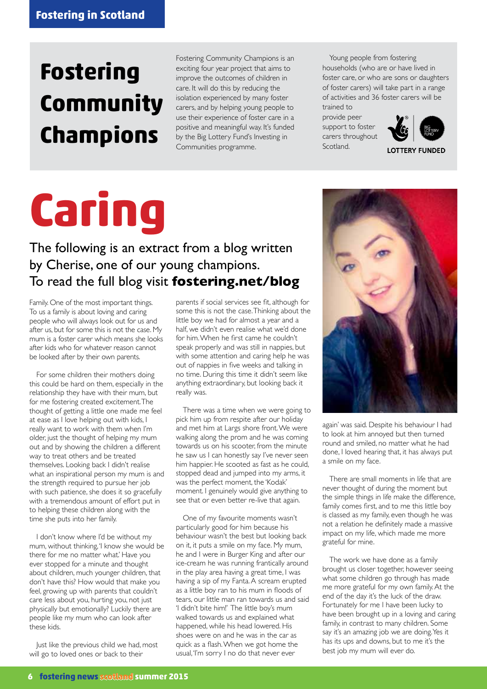# **Fostering Community Champions**

Fostering Community Champions is an exciting four year project that aims to improve the outcomes of children in care. It will do this by reducing the isolation experienced by many foster carers, and by helping young people to use their experience of foster care in a positive and meaningful way. It's funded by the Big Lottery Fund's Investing in Communities programme.

Young people from fostering households (who are or have lived in foster care, or who are sons or daughters of foster carers) will take part in a range of activities and 36 foster carers will be trained to

provide peer support to foster carers throughout Scotland.



**LOTTERY FUNDED** 

# **Caring**

### The following is an extract from a blog written by Cherise, one of our young champions. To read the full blog visit **fostering.net/blog**

Family. One of the most important things. To us a family is about loving and caring people who will always look out for us and after us, but for some this is not the case. My mum is a foster carer which means she looks after kids who for whatever reason cannot be looked after by their own parents.

For some children their mothers doing this could be hard on them, especially in the relationship they have with their mum, but for me fostering created excitement. The thought of getting a little one made me feel at ease as I love helping out with kids, I really want to work with them when I'm older, just the thought of helping my mum out and by showing the children a different way to treat others and be treated themselves. Looking back I didn't realise what an inspirational person my mum is and the strength required to pursue her job with such patience, she does it so gracefully with a tremendous amount of effort put in to helping these children along with the time she puts into her family.

I don't know where I'd be without my mum, without thinking, 'I know she would be there for me no matter what.' Have you ever stopped for a minute and thought about children, much younger children, that don't have this? How would that make you feel, growing up with parents that couldn't care less about you, hurting you, not just physically but emotionally? Luckily there are people like my mum who can look after these kids.

Just like the previous child we had, most will go to loved ones or back to their

parents if social services see fit, although for some this is not the case. Thinking about the little boy we had for almost a year and a half, we didn't even realise what we'd done for him. When he first came he couldn't speak properly and was still in nappies, but with some attention and caring help he was out of nappies in five weeks and talking in no time. During this time it didn't seem like anything extraordinary, but looking back it really was.

There was a time when we were going to pick him up from respite after our holiday and met him at Largs shore front. We were walking along the prom and he was coming towards us on his scooter, from the minute he saw us I can honestly say I've never seen him happier. He scooted as fast as he could, stopped dead and jumped into my arms, it was the perfect moment, the 'Kodak' moment. I genuinely would give anything to see that or even better re-live that again.

One of my favourite moments wasn't particularly good for him because his behaviour wasn't the best but looking back on it, it puts a smile on my face. My mum, he and I were in Burger King and after our ice-cream he was running frantically around in the play area having a great time, I was having a sip of my Fanta. A scream erupted as a little boy ran to his mum in floods of tears, our little man ran towards us and said 'I didn't bite him!' The little boy's mum walked towards us and explained what happened, while his head lowered. His shoes were on and he was in the car as quick as a flash. When we got home the usual, 'I'm sorry I no do that never ever



again' was said. Despite his behaviour I had to look at him annoyed but then turned round and smiled, no matter what he had done, I loved hearing that, it has always put a smile on my face.

There are small moments in life that are never thought of during the moment but the simple things in life make the difference, family comes first, and to me this little boy is classed as my family, even though he was not a relation he definitely made a massive impact on my life, which made me more grateful for mine.

The work we have done as a family brought us closer together, however seeing what some children go through has made me more grateful for my own family. At the end of the day it's the luck of the draw. Fortunately for me I have been lucky to have been brought up in a loving and caring family, in contrast to many children. Some say it's an amazing job we are doing. Yes it has its ups and downs, but to me it's the best job my mum will ever do.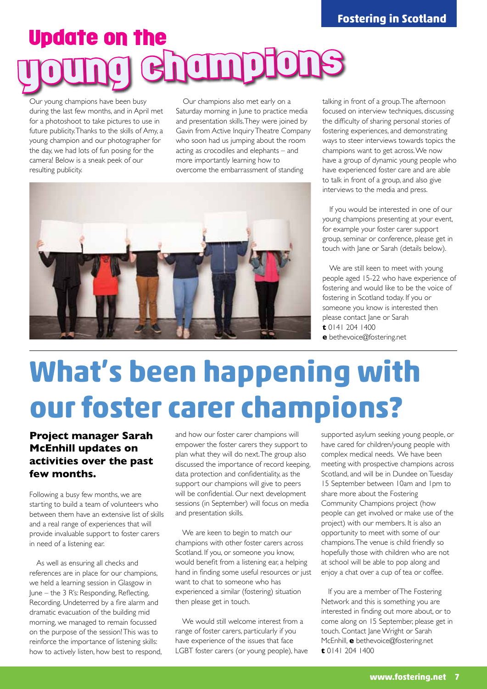# Update on the young champions

Our young champions have been busy during the last few months, and in April met for a photoshoot to take pictures to use in future publicity. Thanks to the skills of Amy, a young champion and our photographer for the day, we had lots of fun posing for the camera! Below is a sneak peek of our resulting publicity.

Our champions also met early on a Saturday morning in June to practice media and presentation skills. They were joined by Gavin from Active Inquiry Theatre Company who soon had us jumping about the room acting as crocodiles and elephants – and more importantly learning how to overcome the embarrassment of standing



talking in front of a group. The afternoon focused on interview techniques, discussing the difficulty of sharing personal stories of fostering experiences, and demonstrating ways to steer interviews towards topics the champions want to get across. We now have a group of dynamic young people who have experienced foster care and are able to talk in front of a group, and also give interviews to the media and press.

If you would be interested in one of our young champions presenting at your event, for example your foster carer support group, seminar or conference, please get in touch with Jane or Sarah (details below).

We are still keen to meet with young people aged 15-22 who have experience of fostering and would like to be the voice of fostering in Scotland today. If you or someone you know is interested then please contact Jane or Sarah **t** 0141 204 1400

**e** bethevoice@fostering.net

# **What's been happening with our foster carer champions?**

#### **Project manager Sarah McEnhill updates on activities over the past few months.**

Following a busy few months, we are starting to build a team of volunteers who between them have an extensive list of skills and a real range of experiences that will provide invaluable support to foster carers in need of a listening ear.

As well as ensuring all checks and references are in place for our champions, we held a learning session in Glasgow in June – the 3 R's: Responding, Reflecting, Recording. Undeterred by a fire alarm and dramatic evacuation of the building mid morning, we managed to remain focussed on the purpose of the session! This was to reinforce the importance of listening skills: how to actively listen, how best to respond, and how our foster carer champions will empower the foster carers they support to plan what they will do next. The group also discussed the importance of record keeping, data protection and confidentiality, as the support our champions will give to peers will be confidential. Our next development sessions (in September) will focus on media and presentation skills.

We are keen to begin to match our champions with other foster carers across Scotland. If you, or someone you know, would benefit from a listening ear, a helping hand in finding some useful resources or just want to chat to someone who has experienced a similar (fostering) situation then please get in touch.

We would still welcome interest from a range of foster carers, particularly if you have experience of the issues that face LGBT foster carers (or young people), have supported asylum seeking young people, or have cared for children/young people with complex medical needs. We have been meeting with prospective champions across Scotland, and will be in Dundee on Tuesday 15 September between 10am and 1pm to share more about the Fostering Community Champions project (how people can get involved or make use of the project) with our members. It is also an opportunity to meet with some of our champions. The venue is child friendly so hopefully those with children who are not at school will be able to pop along and enjoy a chat over a cup of tea or coffee.

If you are a member of The Fostering Network and this is something you are interested in finding out more about, or to come along on 15 September, please get in touch. Contact Jane Wright or Sarah McEnhill, **e** bethevoice@fostering.net **t** 0141 204 1400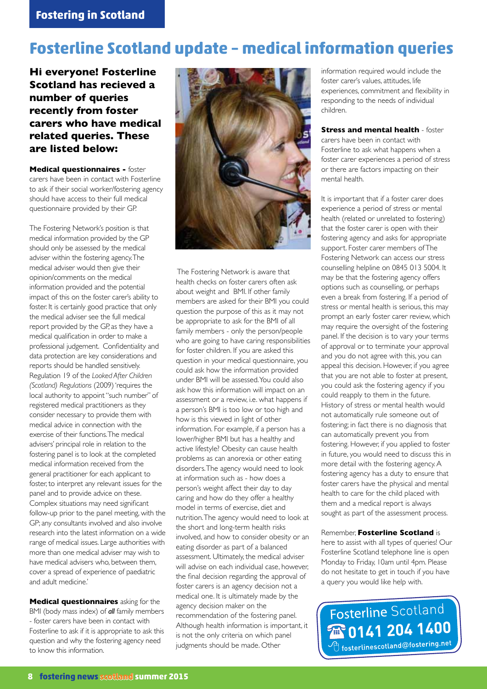### **Fosterline Scotland update – medical information queries**

**Hi everyone! Fosterline Scotland has recieved a number of queries recently from foster carers who have medical related queries. These are listed below:**

**Medical questionnaires -** foster carers have been in contact with Fosterline to ask if their social worker/fostering agency should have access to their full medical questionnaire provided by their GP.

The Fostering Network's position is that medical information provided by the GP should only be assessed by the medical adviser within the fostering agency. The medical adviser would then give their opinion/comments on the medical information provided and the potential impact of this on the foster carer's ability to foster. It is certainly good practice that only the medical adviser see the full medical report provided by the GP, as they have a medical qualification in order to make a professional judgement. Confidentiality and data protection are key considerations and reports should be handled sensitively. Regulation 19 of the *Looked After Children (Scotland) Regulations* (2009) 'requires the local authority to appoint "such number" of registered medical practitioners as they consider necessary to provide them with medical advice in connection with the exercise of their functions. The medical advisers' principal role in relation to the fostering panel is to look at the completed medical information received from the general practitioner for each applicant to foster, to interpret any relevant issues for the panel and to provide advice on these. Complex situations may need significant follow-up prior to the panel meeting, with the GP; any consultants involved and also involve research into the latest information on a wide range of medical issues. Large authorities with more than one medical adviser may wish to have medical advisers who, between them, cover a spread of experience of paediatric and adult medicine.'

**Medical questionnaires** asking for the BMI (body mass index) of *all* family members - foster carers have been in contact with Fosterline to ask if it is appropriate to ask this question and why the fostering agency need to know this information.



 The Fostering Network is aware that health checks on foster carers often ask about weight and BMI. If other family members are asked for their BMI you could question the purpose of this as it may not be appropriate to ask for the BMI of all family members - only the person/people who are going to have caring responsibilities for foster children. If you are asked this question in your medical questionnaire, you could ask how the information provided under BMI will be assessed. You could also ask how this information will impact on an assessment or a review, i.e. what happens if a person's BMI is too low or too high and how is this viewed in light of other information. For example, if a person has a lower/higher BMI but has a healthy and active lifestyle? Obesity can cause health problems as can anorexia or other eating disorders. The agency would need to look at information such as - how does a person's weight affect their day to day caring and how do they offer a healthy model in terms of exercise, diet and nutrition. The agency would need to look at the short and long-term health risks involved, and how to consider obesity or an eating disorder as part of a balanced assessment. Ultimately, the medical adviser will advise on each individual case, however, the final decision regarding the approval of foster carers is an agency decision not a medical one. It is ultimately made by the agency decision maker on the recommendation of the fostering panel. Although health information is important, it is not the only criteria on which panel judgments should be made. Other

information required would include the foster carer's values, attitudes, life experiences, commitment and flexibility in responding to the needs of individual children.

**Stress and mental health - foster** carers have been in contact with Fosterline to ask what happens when a foster carer experiences a period of stress or there are factors impacting on their mental health.

It is important that if a foster carer does experience a period of stress or mental health (related or unrelated to fostering) that the foster carer is open with their fostering agency and asks for appropriate support. Foster carer members of The Fostering Network can access our stress counselling helpline on 0845 013 5004. It may be that the fostering agency offers options such as counselling, or perhaps even a break from fostering. If a period of stress or mental health is serious, this may prompt an early foster carer review, which may require the oversight of the fostering panel. If the decision is to vary your terms of approval or to terminate your approval and you do not agree with this, you can appeal this decision. However, if you agree that you are not able to foster at present, you could ask the fostering agency if you could reapply to them in the future. History of stress or mental health would not automatically rule someone out of fostering; in fact there is no diagnosis that can automatically prevent you from fostering. However, if you applied to foster in future, you would need to discuss this in more detail with the fostering agency. A fostering agency has a duty to ensure that foster carers have the physical and mental health to care for the child placed with them and a medical report is always sought as part of the assessment process.

#### Remember, **Fosterline Scotland** is

here to assist with all types of queries! Our Fosterline Scotland telephone line is open Monday to Friday, 10am until 4pm. Please do not hesitate to get in touch if you have a query you would like help with.

Fosterline Scotland **2801412041400** fosterlinescotland@fostering.net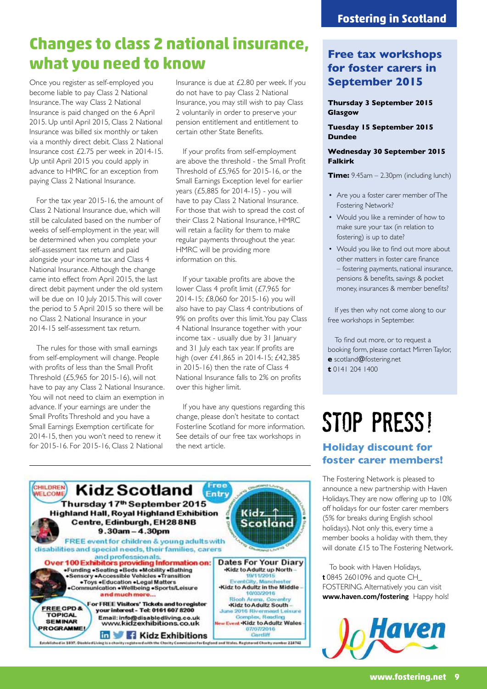### **Changes to class 2 national insurance, what you need to know**

Once you register as self-employed you become liable to pay Class 2 National Insurance. The way Class 2 National Insurance is paid changed on the 6 April 2015. Up until April 2015, Class 2 National Insurance was billed six monthly or taken via a monthly direct debit. Class 2 National Insurance cost £2.75 per week in 2014-15. Up until April 2015 you could apply in advance to HMRC for an exception from paying Class 2 National Insurance.

For the tax year 2015-16, the amount of Class 2 National Insurance due, which will still be calculated based on the number of weeks of self-employment in the year, will be determined when you complete your self-assessment tax return and paid alongside your income tax and Class 4 National Insurance. Although the change came into effect from April 2015, the last direct debit payment under the old system will be due on 10 July 2015. This will cover the period to 5 April 2015 so there will be no Class 2 National Insurance in your 2014-15 self-assessment tax return.

The rules for those with small earnings from self-employment will change. People with profits of less than the Small Profit Threshold (£5,965 for 2015-16), will not have to pay any Class 2 National Insurance. You will not need to claim an exemption in advance. If your earnings are under the Small Profits Threshold and you have a Small Earnings Exemption certificate for 2014-15, then you won't need to renew it for 2015-16. For 2015-16, Class 2 National

Insurance is due at £2.80 per week. If you do not have to pay Class 2 National Insurance, you may still wish to pay Class 2 voluntarily in order to preserve your pension entitlement and entitlement to certain other State Benefits.

If your profits from self-employment are above the threshold - the Small Profit Threshold of £5,965 for 2015-16, or the Small Earnings Exception level for earlier years (£5,885 for 2014-15) - you will have to pay Class 2 National Insurance. For those that wish to spread the cost of their Class 2 National Insurance, HMRC will retain a facility for them to make regular payments throughout the year. HMRC will be providing more information on this.

If your taxable profits are above the lower Class 4 profit limit (£7,965 for 2014-15; £8,060 for 2015-16) you will also have to pay Class 4 contributions of 9% on profits over this limit. You pay Class 4 National Insurance together with your income tax - usually due by 31 January and 31 July each tax year. If profits are high (over £41,865 in 2014-15; £42,385 in 2015-16) then the rate of Class 4 National Insurance falls to 2% on profits over this higher limit.

If you have any questions regarding this change, please don't hesitate to contact Fosterline Scotland for more information. See details of our free tax workshops in the next article.



#### **Thursday 3 September 2015 Glasgow**

**Tuesday 15 September 2015 Dundee**

#### **Wednesday 30 September 2015 Falkirk**

**Time:** 9.45am – 2.30pm (including lunch)

- Are you a foster carer member of The Fostering Network?
- Would you like a reminder of how to make sure your tax (in relation to fostering) is up to date?
- Would you like to find out more about other matters in foster care finance – fostering payments, national insurance, pensions & benefits, savings & pocket money, insurances & member benefits?

If yes then why not come along to our free workshops in September.

To find out more, or to request a booking form, please contact Mirren Taylor, **e** scotland@fostering.net **t** 0141 204 1400

# STOP PRESS!

#### **Holiday discount for foster carer members!**

The Fostering Network is pleased to announce a new partnership with Haven Holidays. They are now offering up to 10% off holidays for our foster carer members (5% for breaks during English school holidays). Not only this, every time a member books a holiday with them, they will donate £15 to The Fostering Network.

To book with Haven Holidays, **t** 0845 2601096 and quote CH\_ FOSTERING. Alternatively you can visit **www.haven.com/fostering** Happy hols!



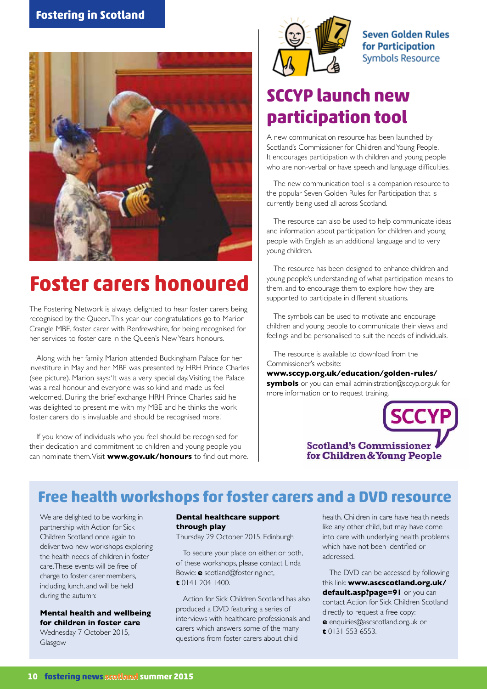

## **Foster carers honoured**

The Fostering Network is always delighted to hear foster carers being recognised by the Queen. This year our congratulations go to Marion Crangle MBE, foster carer with Renfrewshire, for being recognised for her services to foster care in the Queen's New Years honours.

Along with her family, Marion attended Buckingham Palace for her investiture in May and her MBE was presented by HRH Prince Charles (see picture). Marion says: 'It was a very special day. Visiting the Palace was a real honour and everyone was so kind and made us feel welcomed. During the brief exchange HRH Prince Charles said he was delighted to present me with my MBE and he thinks the work foster carers do is invaluable and should be recognised more.'

If you know of individuals who you feel should be recognised for their dedication and commitment to children and young people you can nominate them. Visit **www.gov.uk/honours** to find out more.



**Seven Golden Rules** for Participation **Symbols Resource** 

## **SCCYP launch new participation tool**

A new communication resource has been launched by Scotland's Commissioner for Children and Young People. It encourages participation with children and young people who are non-verbal or have speech and language difficulties.

The new communication tool is a companion resource to the popular Seven Golden Rules for Participation that is currently being used all across Scotland.

The resource can also be used to help communicate ideas and information about participation for children and young people with English as an additional language and to very young children.

The resource has been designed to enhance children and young people's understanding of what participation means to them, and to encourage them to explore how they are supported to participate in different situations.

The symbols can be used to motivate and encourage children and young people to communicate their views and feelings and be personalised to suit the needs of individuals.

The resource is available to download from the Commissioner's website:

**www.sccyp.org.uk/education/golden-rules/ symbols** or you can email administration@sccyp.org.uk for more information or to request training.



### **Free health workshops for foster carers and a DVD resource**

We are delighted to be working in partnership with Action for Sick Children Scotland once again to deliver two new workshops exploring the health needs of children in foster care. These events will be free of charge to foster carer members, including lunch, and will be held during the autumn:

**Mental health and wellbeing for children in foster care** Wednesday 7 October 2015, Glasgow

#### **Dental healthcare support through play**

Thursday 29 October 2015, Edinburgh

To secure your place on either, or both, of these workshops, please contact Linda Bowie: **e** scotland@fostering.net, **t** 0141 204 1400.

Action for Sick Children Scotland has also produced a DVD featuring a series of interviews with healthcare professionals and carers which answers some of the many questions from foster carers about child

health. Children in care have health needs like any other child, but may have come into care with underlying health problems which have not been identified or addressed.

The DVD can be accessed by following this link: **www.ascscotland.org.uk/ default.asp?page=91** or you can contact Action for Sick Children Scotland directly to request a free copy:

**e** enquiries@ascscotland.org.uk or **t** 0131 553 6553.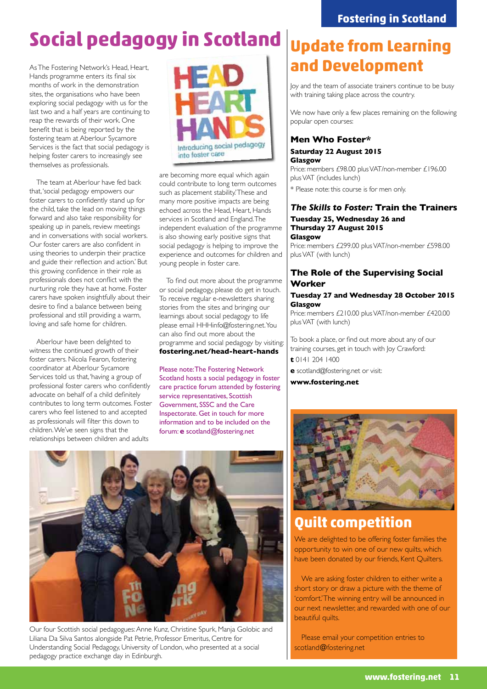## **Social pedagogy in Scotland**

As The Fostering Network's Head, Heart, Hands programme enters its final six months of work in the demonstration sites, the organisations who have been exploring social pedagogy with us for the last two and a half years are continuing to reap the rewards of their work. One benefit that is being reported by the fostering team at Aberlour Sycamore Services is the fact that social pedagogy is helping foster carers to increasingly see themselves as professionals.

The team at Aberlour have fed back that, 'social pedagogy empowers our foster carers to confidently stand up for the child, take the lead on moving things forward and also take responsibility for speaking up in panels, review meetings and in conversations with social workers. Our foster carers are also confident in using theories to underpin their practice and guide their reflection and action.' But this growing confidence in their role as professionals does not conflict with the nurturing role they have at home. Foster carers have spoken insightfully about their desire to find a balance between being professional and still providing a warm, loving and safe home for children.

Aberlour have been delighted to witness the continued growth of their foster carers. Nicola Fearon, fostering coordinator at Aberlour Sycamore Services told us that, 'having a group of professional foster carers who confidently advocate on behalf of a child definitely contributes to long term outcomes. Foster carers who feel listened to and accepted as professionals will filter this down to children. We've seen signs that the relationships between children and adults



are becoming more equal which again could contribute to long term outcomes such as placement stability.' These and many more positive impacts are being echoed across the Head, Heart, Hands services in Scotland and England. The independent evaluation of the programme is also showing early positive signs that social pedagogy is helping to improve the experience and outcomes for children and young people in foster care.

To find out more about the programme or social pedagogy, please do get in touch. To receive regular e-newsletters sharing stories from the sites and bringing our learnings about social pedagogy to life please email HHHinfo@fostering.net. You can also find out more about the programme and social pedagogy by visiting: **fostering.net/head-heart-hands** 

Please note: The Fostering Network Scotland hosts a social pedagogy in foster care practice forum attended by fostering service representatives, Scottish Government, SSSC and the Care Inspectorate. Get in touch for more information and to be included on the forum: **e** scotland@fostering.net



Our four Scottish social pedagogues: Anne Kunz, Christine Spurk, Manja Golobic and Liliana Da Silva Santos alongside Pat Petrie, Professor Emeritus, Centre for Understanding Social Pedagogy, University of London, who presented at a social pedagogy practice exchange day in Edinburgh.

## **Update from Learning and Development**

Joy and the team of associate trainers continue to be busy with training taking place across the country.

We now have only a few places remaining on the following popular open courses:

#### **Men Who Foster\***

**Saturday 22 August 2015 Glasgow**

Price: members £98.00 plus VAT/non-member £196.00 plus VAT (includes lunch) \* Please note: this course is for men only.

#### *The Skills to Foster:* **Train the Trainers Tuesday 25, Wednesday 26 and Thursday 27 August 2015 Glasgow**

Price: members £299.00 plus VAT/non-member £598.00 plus VAT (with lunch)

#### **The Role of the Supervising Social Worker**

#### **Tuesday 27 and Wednesday 28 October 2015 Glasgow**

Price: members £210.00 plus VAT/non-member £420.00 plus VAT (with lunch)

To book a place, or find out more about any of our training courses, get in touch with Joy Crawford:

**t** 0141 204 1400

**e** scotland@fostering.net or visit:

**www.fostering.net**



### **Quilt competition**

We are delighted to be offering foster families the opportunity to win one of our new quilts, which have been donated by our friends, Kent Quilters.

We are asking foster children to either write a short story or draw a picture with the theme of 'comfort.' The winning entry will be announced in our next newsletter, and rewarded with one of our beautiful quilts.

Please email your competition entries to scotland@fostering.net